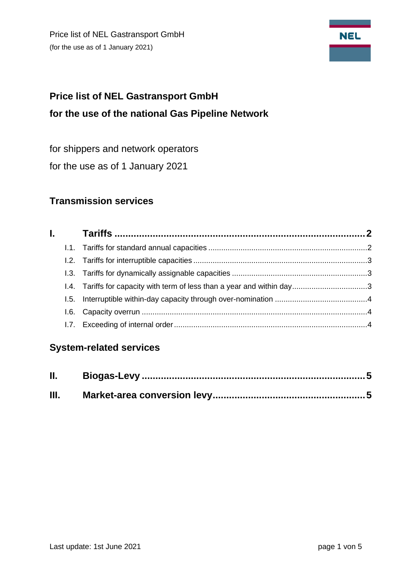Price list of NEL Gastransport GmbH (for the use as of 1 January 2021)



# **Price list of NEL Gastransport GmbH for the use of the national Gas Pipeline Network**

for shippers and network operators

for the use as of 1 January 2021

## **Transmission services**

| l. a s |  |
|--------|--|
|        |  |
|        |  |
|        |  |
|        |  |
|        |  |
|        |  |
|        |  |

## **System-related services**

| II. |  |
|-----|--|
| Ш.  |  |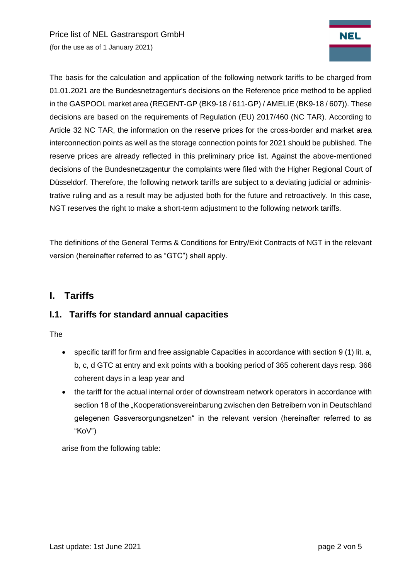Price list of NEL Gastransport GmbH (for the use as of 1 January 2021)



The basis for the calculation and application of the following network tariffs to be charged from 01.01.2021 are the Bundesnetzagentur's decisions on the Reference price method to be applied in the GASPOOL market area (REGENT-GP (BK9-18 / 611-GP) / AMELIE (BK9-18 / 607)). These decisions are based on the requirements of Regulation (EU) 2017/460 (NC TAR). According to Article 32 NC TAR, the information on the reserve prices for the cross-border and market area interconnection points as well as the storage connection points for 2021 should be published. The reserve prices are already reflected in this preliminary price list. Against the above-mentioned decisions of the Bundesnetzagentur the complaints were filed with the Higher Regional Court of Düsseldorf. Therefore, the following network tariffs are subject to a deviating judicial or administrative ruling and as a result may be adjusted both for the future and retroactively. In this case, NGT reserves the right to make a short-term adjustment to the following network tariffs.

<span id="page-1-0"></span>The definitions of the General Terms & Conditions for Entry/Exit Contracts of NGT in the relevant version (hereinafter referred to as "GTC") shall apply.

## **I. Tariffs**

#### <span id="page-1-1"></span>**I.1. Tariffs for standard annual capacities**

The

- specific tariff for firm and free assignable Capacities in accordance with section 9 (1) lit. a, b, c, d GTC at entry and exit points with a booking period of 365 coherent days resp. 366 coherent days in a leap year and
- the tariff for the actual internal order of downstream network operators in accordance with section 18 of the "Kooperationsvereinbarung zwischen den Betreibern von in Deutschland gelegenen Gasversorgungsnetzen" in the relevant version (hereinafter referred to as "KoV")

arise from the following table: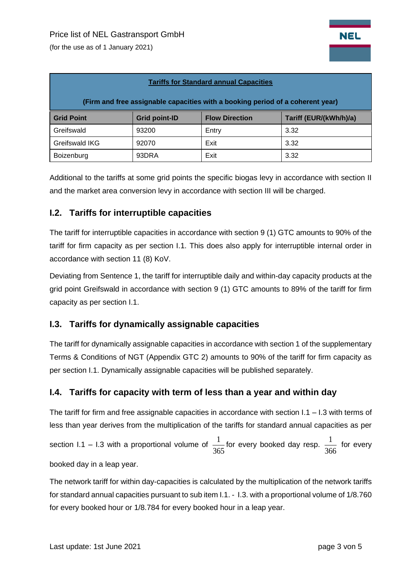(for the use as of 1 January 2021)

| <b>Tariffs for Standard annual Capacities</b><br>(Firm and free assignable capacities with a booking period of a coherent year) |       |       |      |  |  |  |  |
|---------------------------------------------------------------------------------------------------------------------------------|-------|-------|------|--|--|--|--|
|                                                                                                                                 |       |       |      |  |  |  |  |
| Greifswald                                                                                                                      | 93200 | Entry | 3.32 |  |  |  |  |
| Greifswald IKG                                                                                                                  | 92070 | Exit  | 3.32 |  |  |  |  |
| Boizenburg                                                                                                                      | 93DRA | Exit  | 3.32 |  |  |  |  |

Additional to the tariffs at some grid points the specific biogas levy in accordance with section II and the market area conversion levy in accordance with section III will be charged.

#### <span id="page-2-0"></span>**I.2. Tariffs for interruptible capacities**

The tariff for interruptible capacities in accordance with section 9 (1) GTC amounts to 90% of the tariff for firm capacity as per section I.1. This does also apply for interruptible internal order in accordance with section 11 (8) KoV.

Deviating from Sentence 1, the tariff for interruptible daily and within-day capacity products at the grid point Greifswald in accordance with section 9 (1) GTC amounts to 89% of the tariff for firm capacity as per section I.1.

#### <span id="page-2-1"></span>**I.3. Tariffs for dynamically assignable capacities**

The tariff for dynamically assignable capacities in accordance with section 1 of the supplementary Terms & Conditions of NGT (Appendix GTC 2) amounts to 90% of the tariff for firm capacity as per section I.1. Dynamically assignable capacities will be published separately.

#### <span id="page-2-2"></span>**I.4. Tariffs for capacity with term of less than a year and within day**

The tariff for firm and free assignable capacities in accordance with section  $1.1 - 1.3$  with terms of less than year derives from the multiplication of the tariffs for standard annual capacities as per section I.1 – I.3 with a proportional volume of 365  $\frac{1}{\sqrt{2}}$  for every booked day resp. 366  $\frac{1}{\sqrt{2}}$  for every booked day in a leap year.

The network tariff for within day-capacities is calculated by the multiplication of the network tariffs for standard annual capacities pursuant to sub item I.1. - I.3. with a proportional volume of 1/8.760 for every booked hour or 1/8.784 for every booked hour in a leap year.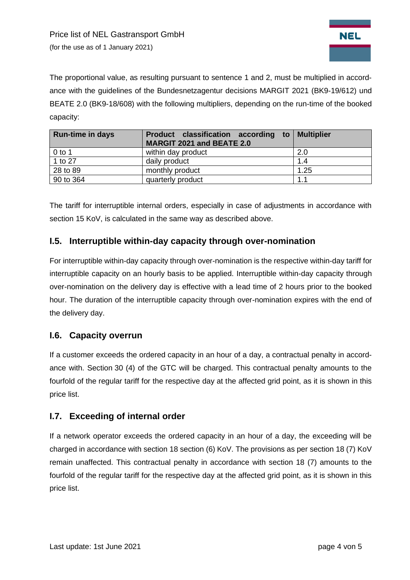

The proportional value, as resulting pursuant to sentence 1 and 2, must be multiplied in accordance with the guidelines of the Bundesnetzagentur decisions MARGIT 2021 (BK9-19/612) und BEATE 2.0 (BK9-18/608) with the following multipliers, depending on the run-time of the booked capacity:

| <b>Run-time in days</b> | Product classification according to Multiplier<br>MARGIT 2021 and BEATE 2.0 |      |
|-------------------------|-----------------------------------------------------------------------------|------|
| $0$ to 1                | within day product                                                          | 2.0  |
| 1 to 27                 | daily product                                                               | 1.4  |
| 28 to 89                | monthly product                                                             | 1.25 |
| 90 to 364               | quarterly product                                                           | 1.1  |

The tariff for interruptible internal orders, especially in case of adjustments in accordance with section 15 KoV, is calculated in the same way as described above.

#### **I.5. Interruptible within-day capacity through over-nomination**

<span id="page-3-0"></span>For interruptible within-day capacity through over-nomination is the respective within-day tariff for interruptible capacity on an hourly basis to be applied. Interruptible within-day capacity through over-nomination on the delivery day is effective with a lead time of 2 hours prior to the booked hour. The duration of the interruptible capacity through over-nomination expires with the end of the delivery day.

#### **I.6. Capacity overrun**

If a customer exceeds the ordered capacity in an hour of a day, a contractual penalty in accordance with. Section 30 (4) of the GTC will be charged. This contractual penalty amounts to the fourfold of the regular tariff for the respective day at the affected grid point, as it is shown in this price list.

#### <span id="page-3-1"></span>**I.7. Exceeding of internal order**

If a network operator exceeds the ordered capacity in an hour of a day, the exceeding will be charged in accordance with section 18 section (6) KoV. The provisions as per section 18 (7) KoV remain unaffected. This contractual penalty in accordance with section 18 (7) amounts to the fourfold of the regular tariff for the respective day at the affected grid point, as it is shown in this price list.